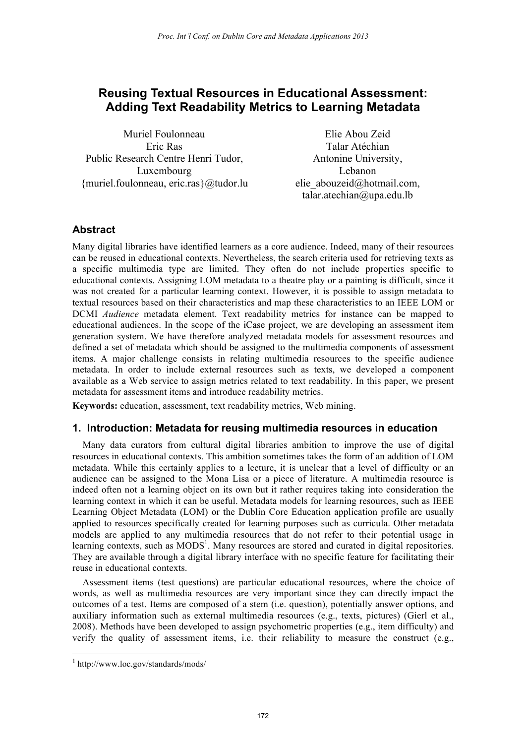# **Reusing Textual Resources in Educational Assessment: Adding Text Readability Metrics to Learning Metadata**

Muriel Foulonneau Eric Ras Public Research Centre Henri Tudor, Luxembourg {muriel.foulonneau, eric.ras}@tudor.lu elie\_abouzeid@hotmail.com,

Elie Abou Zeid Talar Atéchian Antonine University, Lebanon talar.atechian@upa.edu.lb

# **Abstract**

Many digital libraries have identified learners as a core audience. Indeed, many of their resources can be reused in educational contexts. Nevertheless, the search criteria used for retrieving texts as a specific multimedia type are limited. They often do not include properties specific to educational contexts. Assigning LOM metadata to a theatre play or a painting is difficult, since it was not created for a particular learning context. However, it is possible to assign metadata to textual resources based on their characteristics and map these characteristics to an IEEE LOM or DCMI *Audience* metadata element. Text readability metrics for instance can be mapped to educational audiences. In the scope of the iCase project, we are developing an assessment item generation system. We have therefore analyzed metadata models for assessment resources and defined a set of metadata which should be assigned to the multimedia components of assessment items. A major challenge consists in relating multimedia resources to the specific audience metadata. In order to include external resources such as texts, we developed a component available as a Web service to assign metrics related to text readability. In this paper, we present metadata for assessment items and introduce readability metrics.

**Keywords:** education, assessment, text readability metrics, Web mining.

#### **1. Introduction: Metadata for reusing multimedia resources in education**

Many data curators from cultural digital libraries ambition to improve the use of digital resources in educational contexts. This ambition sometimes takes the form of an addition of LOM metadata. While this certainly applies to a lecture, it is unclear that a level of difficulty or an audience can be assigned to the Mona Lisa or a piece of literature. A multimedia resource is indeed often not a learning object on its own but it rather requires taking into consideration the learning context in which it can be useful. Metadata models for learning resources, such as IEEE Learning Object Metadata (LOM) or the Dublin Core Education application profile are usually applied to resources specifically created for learning purposes such as curricula. Other metadata models are applied to any multimedia resources that do not refer to their potential usage in learning contexts, such as MODS<sup>1</sup>. Many resources are stored and curated in digital repositories. They are available through a digital library interface with no specific feature for facilitating their reuse in educational contexts.

Assessment items (test questions) are particular educational resources, where the choice of words, as well as multimedia resources are very important since they can directly impact the outcomes of a test. Items are composed of a stem (i.e. question), potentially answer options, and auxiliary information such as external multimedia resources (e.g., texts, pictures) (Gierl et al., 2008). Methods have been developed to assign psychometric properties (e.g., item difficulty) and verify the quality of assessment items, i.e. their reliability to measure the construct (e.g.,

 $\overline{a}$ 

<sup>1</sup> http://www.loc.gov/standards/mods/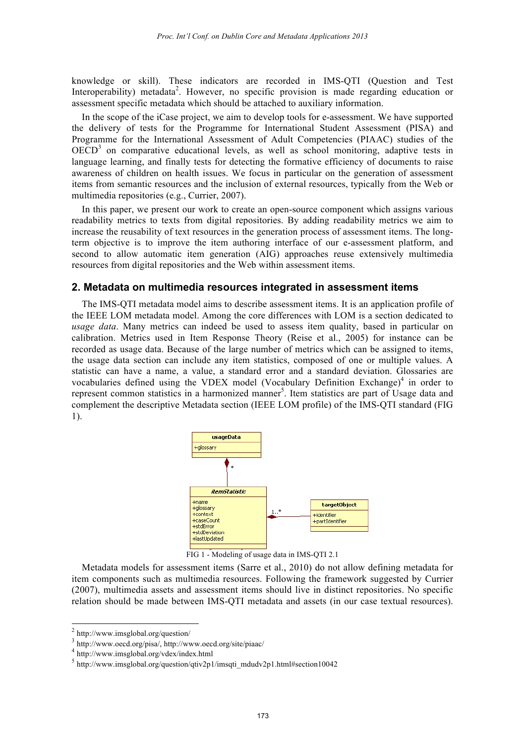knowledge or skill). These indicators are recorded in IMS-QTI (Question and Test Interoperability) metadata<sup>2</sup>. However, no specific provision is made regarding education or assessment specific metadata which should be attached to auxiliary information.

In the scope of the iCase project, we aim to develop tools for e-assessment. We have supported the delivery of tests for the Programme for International Student Assessment (PISA) and Programme for the International Assessment of Adult Competencies (PIAAC) studies of the  $OECD<sup>3</sup>$  on comparative educational levels, as well as school monitoring, adaptive tests in language learning, and finally tests for detecting the formative efficiency of documents to raise awareness of children on health issues. We focus in particular on the generation of assessment items from semantic resources and the inclusion of external resources, typically from the Web or multimedia repositories (e.g., Currier, 2007).

In this paper, we present our work to create an open-source component which assigns various readability metrics to texts from digital repositories. By adding readability metrics we aim to increase the reusability of text resources in the generation process of assessment items. The longterm objective is to improve the item authoring interface of our e-assessment platform, and second to allow automatic item generation (AIG) approaches reuse extensively multimedia resources from digital repositories and the Web within assessment items.

## **2. Metadata on multimedia resources integrated in assessment items**

The IMS-QTI metadata model aims to describe assessment items. It is an application profile of the IEEE LOM metadata model. Among the core differences with LOM is a section dedicated to *usage data*. Many metrics can indeed be used to assess item quality, based in particular on calibration. Metrics used in Item Response Theory (Reise et al., 2005) for instance can be recorded as usage data. Because of the large number of metrics which can be assigned to items, the usage data section can include any item statistics, composed of one or multiple values. A statistic can have a name, a value, a standard error and a standard deviation. Glossaries are vocabularies defined using the VDEX model (Vocabulary Definition Exchange)<sup>4</sup> in order to represent common statistics in a harmonized manner<sup>5</sup>. Item statistics are part of Usage data and complement the descriptive Metadata section (IEEE LOM profile) of the IMS-QTI standard (FIG 1).



FIG 1 - Modeling of usage data in IMS-QTI 2.1

Metadata models for assessment items (Sarre et al., 2010) do not allow defining metadata for item components such as multimedia resources. Following the framework suggested by Currier (2007), multimedia assets and assessment items should live in distinct repositories. No specific relation should be made between IMS-QTI metadata and assets (in our case textual resources).

l

 $^{2}$  http://www.imsglobal.org/question/

<sup>3</sup> http://www.oecd.org/pisa/, http://www.oecd.org/site/piaac/

<sup>4</sup> http://www.imsglobal.org/vdex/index.html

 $5 \text{ http://www.imsglobal.org/question/qtiv2p1/imsqti_mdudv2p1.html}$ #section10042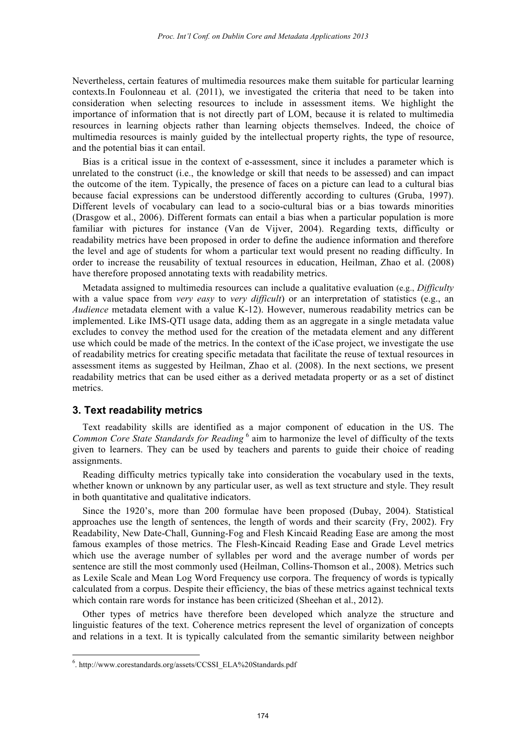Nevertheless, certain features of multimedia resources make them suitable for particular learning contexts.In Foulonneau et al. (2011), we investigated the criteria that need to be taken into consideration when selecting resources to include in assessment items. We highlight the importance of information that is not directly part of LOM, because it is related to multimedia resources in learning objects rather than learning objects themselves. Indeed, the choice of multimedia resources is mainly guided by the intellectual property rights, the type of resource, and the potential bias it can entail.

Bias is a critical issue in the context of e-assessment, since it includes a parameter which is unrelated to the construct (i.e., the knowledge or skill that needs to be assessed) and can impact the outcome of the item. Typically, the presence of faces on a picture can lead to a cultural bias because facial expressions can be understood differently according to cultures (Gruba, 1997). Different levels of vocabulary can lead to a socio-cultural bias or a bias towards minorities (Drasgow et al., 2006). Different formats can entail a bias when a particular population is more familiar with pictures for instance (Van de Vijver, 2004). Regarding texts, difficulty or readability metrics have been proposed in order to define the audience information and therefore the level and age of students for whom a particular text would present no reading difficulty. In order to increase the reusability of textual resources in education, Heilman, Zhao et al. (2008) have therefore proposed annotating texts with readability metrics.

Metadata assigned to multimedia resources can include a qualitative evaluation (e.g., *Difficulty* with a value space from *very easy* to *very difficult*) or an interpretation of statistics (e.g., an *Audience* metadata element with a value K-12). However, numerous readability metrics can be implemented. Like IMS-QTI usage data, adding them as an aggregate in a single metadata value excludes to convey the method used for the creation of the metadata element and any different use which could be made of the metrics. In the context of the iCase project, we investigate the use of readability metrics for creating specific metadata that facilitate the reuse of textual resources in assessment items as suggested by Heilman, Zhao et al. (2008). In the next sections, we present readability metrics that can be used either as a derived metadata property or as a set of distinct metrics.

#### **3. Text readability metrics**

 $\overline{a}$ 

Text readability skills are identified as a major component of education in the US. The *Common Core State Standards for Reading* <sup>6</sup> aim to harmonize the level of difficulty of the texts given to learners. They can be used by teachers and parents to guide their choice of reading assignments.

Reading difficulty metrics typically take into consideration the vocabulary used in the texts, whether known or unknown by any particular user, as well as text structure and style. They result in both quantitative and qualitative indicators.

Since the 1920's, more than 200 formulae have been proposed (Dubay, 2004). Statistical approaches use the length of sentences, the length of words and their scarcity (Fry, 2002). Fry Readability, New Date-Chall, Gunning-Fog and Flesh Kincaid Reading Ease are among the most famous examples of those metrics. The Flesh-Kincaid Reading Ease and Grade Level metrics which use the average number of syllables per word and the average number of words per sentence are still the most commonly used (Heilman, Collins-Thomson et al., 2008). Metrics such as Lexile Scale and Mean Log Word Frequency use corpora. The frequency of words is typically calculated from a corpus. Despite their efficiency, the bias of these metrics against technical texts which contain rare words for instance has been criticized (Sheehan et al., 2012).

Other types of metrics have therefore been developed which analyze the structure and linguistic features of the text. Coherence metrics represent the level of organization of concepts and relations in a text. It is typically calculated from the semantic similarity between neighbor

<sup>6</sup> . http://www.corestandards.org/assets/CCSSI\_ELA%20Standards.pdf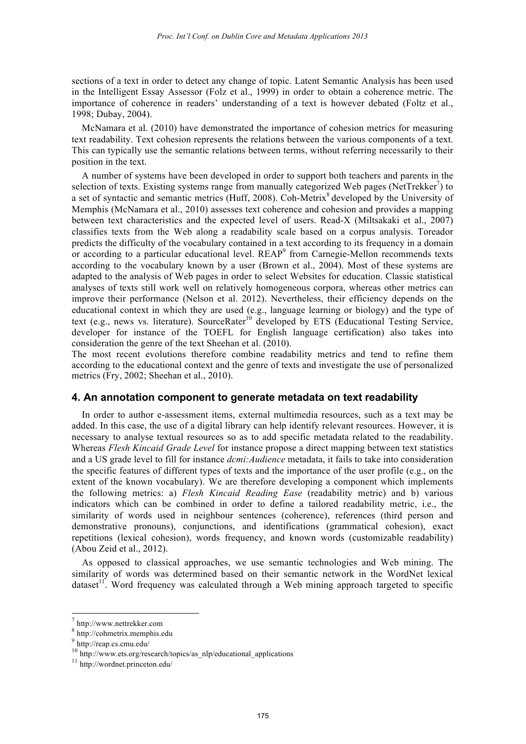sections of a text in order to detect any change of topic. Latent Semantic Analysis has been used in the Intelligent Essay Assessor (Folz et al., 1999) in order to obtain a coherence metric. The importance of coherence in readers' understanding of a text is however debated (Foltz et al., 1998; Dubay, 2004).

McNamara et al. (2010) have demonstrated the importance of cohesion metrics for measuring text readability. Text cohesion represents the relations between the various components of a text. This can typically use the semantic relations between terms, without referring necessarily to their position in the text.

A number of systems have been developed in order to support both teachers and parents in the selection of texts. Existing systems range from manually categorized Web pages (NetTrekker $\bar{\ }$ ) to a set of syntactic and semantic metrics (Huff, 2008). Coh-Metrix<sup>8</sup> developed by the University of Memphis (McNamara et al., 2010) assesses text coherence and cohesion and provides a mapping between text characteristics and the expected level of users. Read-X (Miltsakaki et al., 2007) classifies texts from the Web along a readability scale based on a corpus analysis. Toreador predicts the difficulty of the vocabulary contained in a text according to its frequency in a domain or according to a particular educational level. REAP<sup>9</sup> from Carnegie-Mellon recommends texts according to the vocabulary known by a user (Brown et al., 2004). Most of these systems are adapted to the analysis of Web pages in order to select Websites for education. Classic statistical analyses of texts still work well on relatively homogeneous corpora, whereas other metrics can improve their performance (Nelson et al. 2012). Nevertheless, their efficiency depends on the educational context in which they are used (e.g., language learning or biology) and the type of text (e.g., news vs. literature). SourceRater<sup>10</sup> developed by ETS (Educational Testing Service, developer for instance of the TOEFL for English language certification) also takes into consideration the genre of the text Sheehan et al. (2010).

The most recent evolutions therefore combine readability metrics and tend to refine them according to the educational context and the genre of texts and investigate the use of personalized metrics (Fry, 2002; Sheehan et al., 2010).

#### **4. An annotation component to generate metadata on text readability**

In order to author e-assessment items, external multimedia resources, such as a text may be added. In this case, the use of a digital library can help identify relevant resources. However, it is necessary to analyse textual resources so as to add specific metadata related to the readability. Whereas *Flesh Kincaid Grade Level* for instance propose a direct mapping between text statistics and a US grade level to fill for instance *dcmi:Audience* metadata, it fails to take into consideration the specific features of different types of texts and the importance of the user profile (e.g., on the extent of the known vocabulary). We are therefore developing a component which implements the following metrics: a) *Flesh Kincaid Reading Ease* (readability metric) and b) various indicators which can be combined in order to define a tailored readability metric, i.e., the similarity of words used in neighbour sentences (coherence), references (third person and demonstrative pronouns), conjunctions, and identifications (grammatical cohesion), exact repetitions (lexical cohesion), words frequency, and known words (customizable readability) (Abou Zeid et al., 2012).

As opposed to classical approaches, we use semantic technologies and Web mining. The similarity of words was determined based on their semantic network in the WordNet lexical dataset<sup>11</sup>. Word frequency was calculated through a Web mining approach targeted to specific

l

<sup>7</sup> http://www.nettrekker.com

<sup>8</sup> http://cohmetrix.memphis.edu

<sup>9</sup> http://reap.cs.cmu.edu/

<sup>10</sup> http://www.ets.org/research/topics/as\_nlp/educational\_applications

<sup>11</sup> http://wordnet.princeton.edu/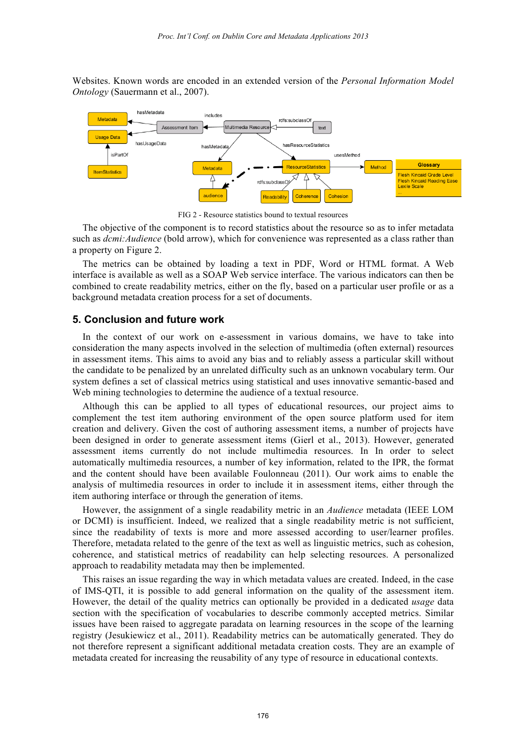Websites. Known words are encoded in an extended version of the *Personal Information Model Ontology* (Sauermann et al., 2007).



FIG 2 - Resource statistics bound to textual resources

The objective of the component is to record statistics about the resource so as to infer metadata such as *dcmi:Audience* (bold arrow), which for convenience was represented as a class rather than a property on Figure 2.

The metrics can be obtained by loading a text in PDF, Word or HTML format. A Web interface is available as well as a SOAP Web service interface. The various indicators can then be combined to create readability metrics, either on the fly, based on a particular user profile or as a background metadata creation process for a set of documents.

# **5. Conclusion and future work**

In the context of our work on e-assessment in various domains, we have to take into consideration the many aspects involved in the selection of multimedia (often external) resources in assessment items. This aims to avoid any bias and to reliably assess a particular skill without the candidate to be penalized by an unrelated difficulty such as an unknown vocabulary term. Our system defines a set of classical metrics using statistical and uses innovative semantic-based and Web mining technologies to determine the audience of a textual resource.

Although this can be applied to all types of educational resources, our project aims to complement the test item authoring environment of the open source platform used for item creation and delivery. Given the cost of authoring assessment items, a number of projects have been designed in order to generate assessment items (Gierl et al., 2013). However, generated assessment items currently do not include multimedia resources. In In order to select automatically multimedia resources, a number of key information, related to the IPR, the format and the content should have been available Foulonneau (2011). Our work aims to enable the analysis of multimedia resources in order to include it in assessment items, either through the item authoring interface or through the generation of items.

However, the assignment of a single readability metric in an *Audience* metadata (IEEE LOM or DCMI) is insufficient. Indeed, we realized that a single readability metric is not sufficient, since the readability of texts is more and more assessed according to user/learner profiles. Therefore, metadata related to the genre of the text as well as linguistic metrics, such as cohesion, coherence, and statistical metrics of readability can help selecting resources. A personalized approach to readability metadata may then be implemented.

This raises an issue regarding the way in which metadata values are created. Indeed, in the case of IMS-QTI, it is possible to add general information on the quality of the assessment item. However, the detail of the quality metrics can optionally be provided in a dedicated *usage* data section with the specification of vocabularies to describe commonly accepted metrics. Similar issues have been raised to aggregate paradata on learning resources in the scope of the learning registry (Jesukiewicz et al., 2011). Readability metrics can be automatically generated. They do not therefore represent a significant additional metadata creation costs. They are an example of metadata created for increasing the reusability of any type of resource in educational contexts.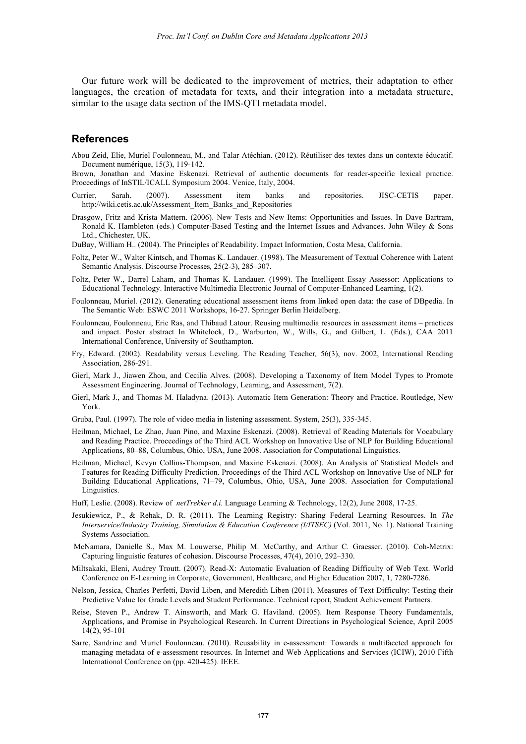Our future work will be dedicated to the improvement of metrics, their adaptation to other languages, the creation of metadata for texts**,** and their integration into a metadata structure, similar to the usage data section of the IMS-QTI metadata model.

## **References**

Abou Zeid, Elie, Muriel Foulonneau, M., and Talar Atéchian. (2012). Réutiliser des textes dans un contexte éducatif. Document numérique, 15(3), 119-142.

Brown, Jonathan and Maxine Eskenazi. Retrieval of authentic documents for reader-specific lexical practice. Proceedings of InSTIL/ICALL Symposium 2004. Venice, Italy, 2004.

- Currier, Sarah. (2007). Assessment item banks and repositories. JISC-CETIS paper. http://wiki.cetis.ac.uk/Assessment\_Item\_Banks\_and\_Repositories
- Drasgow, Fritz and Krista Mattern. (2006). New Tests and New Items: Opportunities and Issues. In Dave Bartram, Ronald K. Hambleton (eds.) Computer-Based Testing and the Internet Issues and Advances. John Wiley & Sons Ltd., Chichester, UK.
- DuBay, William H.. (2004). The Principles of Readability. Impact Information, Costa Mesa, California.
- Foltz, Peter W., Walter Kintsch, and Thomas K. Landauer. (1998). The Measurement of Textual Coherence with Latent Semantic Analysis. Discourse Processes*,* 25(2-3), 285–307.
- Foltz, Peter W., Darrel Laham, and Thomas K. Landauer. (1999). The Intelligent Essay Assessor: Applications to Educational Technology. Interactive Multimedia Electronic Journal of Computer-Enhanced Learning, 1(2).
- Foulonneau, Muriel. (2012). Generating educational assessment items from linked open data: the case of DBpedia. In The Semantic Web: ESWC 2011 Workshops, 16-27. Springer Berlin Heidelberg.
- Foulonneau, Foulonneau, Eric Ras, and Thibaud Latour. Reusing multimedia resources in assessment items practices and impact. Poster abstract In Whitelock, D., Warburton, W., Wills, G., and Gilbert, L. (Eds.), CAA 2011 International Conference, University of Southampton.
- Fry, Edward. (2002). Readability versus Leveling. The Reading Teacher*,* 56(3), nov. 2002, International Reading Association, 286-291.
- Gierl, Mark J., Jiawen Zhou, and Cecilia Alves. (2008). Developing a Taxonomy of Item Model Types to Promote Assessment Engineering. Journal of Technology, Learning, and Assessment, 7(2).
- Gierl, Mark J., and Thomas M. Haladyna. (2013). Automatic Item Generation: Theory and Practice. Routledge, New York.
- Gruba, Paul. (1997). The role of video media in listening assessment. System, 25(3), 335-345.
- Heilman, Michael, Le Zhao, Juan Pino, and Maxine Eskenazi. (2008). Retrieval of Reading Materials for Vocabulary and Reading Practice. Proceedings of the Third ACL Workshop on Innovative Use of NLP for Building Educational Applications, 80–88, Columbus, Ohio, USA, June 2008. Association for Computational Linguistics.
- Heilman, Michael, Kevyn Collins-Thompson, and Maxine Eskenazi. (2008). An Analysis of Statistical Models and Features for Reading Difficulty Prediction. Proceedings of the Third ACL Workshop on Innovative Use of NLP for Building Educational Applications, 71–79, Columbus, Ohio, USA, June 2008. Association for Computational Linguistics.
- Huff, Leslie. (2008). Review of *netTrekker d.i.* Language Learning & Technology, 12(2), June 2008, 17-25.
- Jesukiewicz, P., & Rehak, D. R. (2011). The Learning Registry: Sharing Federal Learning Resources. In *The Interservice/Industry Training, Simulation & Education Conference (I/ITSEC)* (Vol. 2011, No. 1). National Training Systems Association.
- McNamara, Danielle S., Max M. Louwerse, Philip M. McCarthy, and Arthur C. Graesser. (2010). Coh-Metrix: Capturing linguistic features of cohesion. Discourse Processes, 47(4), 2010, 292–330.
- Miltsakaki, Eleni, Audrey Troutt. (2007). Read-X: Automatic Evaluation of Reading Difficulty of Web Text. World Conference on E-Learning in Corporate, Government, Healthcare, and Higher Education 2007, 1, 7280-7286.
- Nelson, Jessica, Charles Perfetti, David Liben, and Meredith Liben (2011). Measures of Text Difficulty: Testing their Predictive Value for Grade Levels and Student Performance. Technical report, Student Achievement Partners.
- Reise, Steven P., Andrew T. Ainsworth, and Mark G. Haviland. (2005). Item Response Theory Fundamentals, Applications, and Promise in Psychological Research. In Current Directions in Psychological Science, April 2005 14(2), 95-101
- Sarre, Sandrine and Muriel Foulonneau. (2010). Reusability in e-assessment: Towards a multifaceted approach for managing metadata of e-assessment resources. In Internet and Web Applications and Services (ICIW), 2010 Fifth International Conference on (pp. 420-425). IEEE.